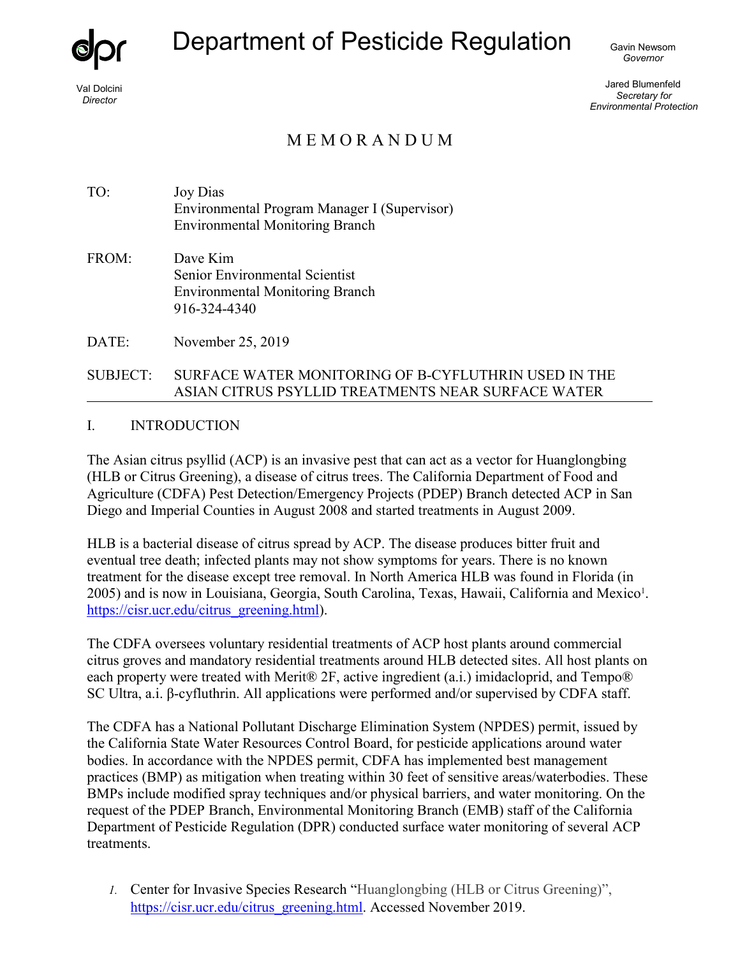

Val Dolcini *Director*

# Department of Pesticide Regulation Gavin Newsom

*Governor*

Jared Blumenfeld *Secretary for Environmental Protection*

## M E M O R A N D U M

TO: Joy Dias Environmental Program Manager I (Supervisor) Environmental Monitoring Branch

FROM: Dave Kim Senior Environmental Scientist Environmental Monitoring Branch 916-324-4340

DATE: November 25, 2019

#### SUBJECT: SURFACE WATER MONITORING OF Β-CYFLUTHRIN USED IN THE ASIAN CITRUS PSYLLID TREATMENTS NEAR SURFACE WATER

#### I. INTRODUCTION

The Asian citrus psyllid (ACP) is an invasive pest that can act as a vector for Huanglongbing (HLB or Citrus Greening), a disease of citrus trees. The California Department of Food and Agriculture (CDFA) Pest Detection/Emergency Projects (PDEP) Branch detected ACP in San Diego and Imperial Counties in August 2008 and started treatments in August 2009.

HLB is a bacterial disease of citrus spread by ACP. The disease produces bitter fruit and eventual tree death; infected plants may not show symptoms for years. There is no known treatment for the disease except tree removal. In North America HLB was found in Florida (in 2005) and is now in Louisiana, Georgia, South Carolina, Texas, Hawaii, California and Mexico<sup>1</sup>. [https://cisr.ucr.edu/citrus\\_greening.html\)](https://cisr.ucr.edu/citrus_greening.html).

The CDFA oversees voluntary residential treatments of ACP host plants around commercial citrus groves and mandatory residential treatments around HLB detected sites. All host plants on each property were treated with Merit® 2F, active ingredient (a.i.) imidacloprid, and Tempo® SC Ultra, a.i. β-cyfluthrin. All applications were performed and/or supervised by CDFA staff.

The CDFA has a National Pollutant Discharge Elimination System (NPDES) permit, issued by the California State Water Resources Control Board, for pesticide applications around water bodies. In accordance with the NPDES permit, CDFA has implemented best management practices (BMP) as mitigation when treating within 30 feet of sensitive areas/waterbodies. These BMPs include modified spray techniques and/or physical barriers, and water monitoring. On the request of the PDEP Branch, Environmental Monitoring Branch (EMB) staff of the California Department of Pesticide Regulation (DPR) conducted surface water monitoring of several ACP treatments.

*1.* Center for Invasive Species Research "Huanglongbing (HLB or Citrus Greening)", [https://cisr.ucr.edu/citrus\\_greening.html.](https://cisr.ucr.edu/citrus_greening.html) Accessed November 2019.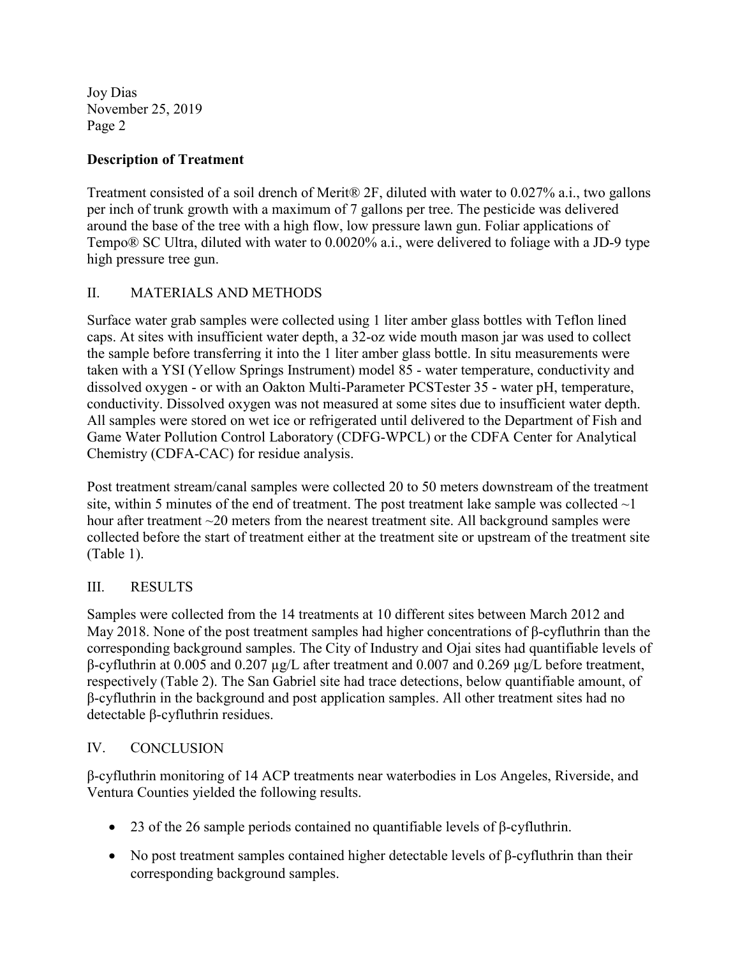Joy Dias November 25, 2019 Page 2

#### **Description of Treatment**

Treatment consisted of a soil drench of Merit® 2F, diluted with water to 0.027% a.i., two gallons per inch of trunk growth with a maximum of 7 gallons per tree. The pesticide was delivered around the base of the tree with a high flow, low pressure lawn gun. Foliar applications of Tempo® SC Ultra, diluted with water to 0.0020% a.i., were delivered to foliage with a JD-9 type high pressure tree gun.

### II. MATERIALS AND METHODS

Surface water grab samples were collected using 1 liter amber glass bottles with Teflon lined caps. At sites with insufficient water depth, a 32-oz wide mouth mason jar was used to collect the sample before transferring it into the 1 liter amber glass bottle. In situ measurements were taken with a YSI (Yellow Springs Instrument) model 85 - water temperature, conductivity and dissolved oxygen - or with an Oakton Multi-Parameter PCSTester 35 - water pH, temperature, conductivity. Dissolved oxygen was not measured at some sites due to insufficient water depth. All samples were stored on wet ice or refrigerated until delivered to the Department of Fish and Game Water Pollution Control Laboratory (CDFG-WPCL) or the CDFA Center for Analytical Chemistry (CDFA-CAC) for residue analysis.

Post treatment stream/canal samples were collected 20 to 50 meters downstream of the treatment site, within 5 minutes of the end of treatment. The post treatment lake sample was collected  $\sim$ 1 hour after treatment ~20 meters from the nearest treatment site. All background samples were collected before the start of treatment either at the treatment site or upstream of the treatment site (Table 1).

#### III. RESULTS

Samples were collected from the 14 treatments at 10 different sites between March 2012 and May 2018. None of the post treatment samples had higher concentrations of β-cyfluthrin than the corresponding background samples. The City of Industry and Ojai sites had quantifiable levels of β-cyfluthrin at 0.005 and 0.207 µg/L after treatment and 0.007 and 0.269 µg/L before treatment, respectively (Table 2). The San Gabriel site had trace detections, below quantifiable amount, of β-cyfluthrin in the background and post application samples. All other treatment sites had no detectable β-cyfluthrin residues.

#### IV. CONCLUSION

β-cyfluthrin monitoring of 14 ACP treatments near waterbodies in Los Angeles, Riverside, and Ventura Counties yielded the following results.

- 23 of the 26 sample periods contained no quantifiable levels of  $β$ -cyfluthrin.
- No post treatment samples contained higher detectable levels of  $\beta$ -cyfluthrin than their corresponding background samples.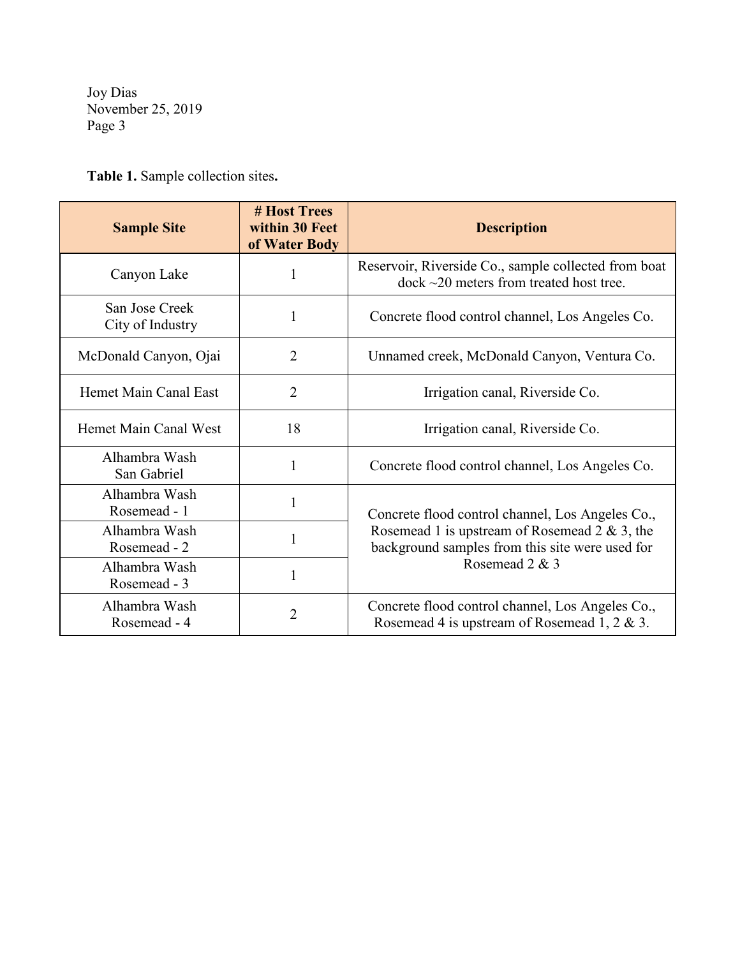Joy Dias November 25, 2019 Page 3

**Table 1.** Sample collection sites**.** 

| <b>Sample Site</b>                 | # Host Trees<br>within 30 Feet<br>of Water Body | <b>Description</b>                                                                                                                                                                                      |  |  |  |  |
|------------------------------------|-------------------------------------------------|---------------------------------------------------------------------------------------------------------------------------------------------------------------------------------------------------------|--|--|--|--|
| Canyon Lake                        | 1                                               | Reservoir, Riverside Co., sample collected from boat<br>$dock \sim$ 20 meters from treated host tree.                                                                                                   |  |  |  |  |
| San Jose Creek<br>City of Industry | 1                                               | Concrete flood control channel, Los Angeles Co.                                                                                                                                                         |  |  |  |  |
| McDonald Canyon, Ojai              | $\overline{2}$                                  | Unnamed creek, McDonald Canyon, Ventura Co.                                                                                                                                                             |  |  |  |  |
| Hemet Main Canal East              | $\overline{2}$                                  | Irrigation canal, Riverside Co.                                                                                                                                                                         |  |  |  |  |
| Hemet Main Canal West              | 18                                              | Irrigation canal, Riverside Co.                                                                                                                                                                         |  |  |  |  |
| Alhambra Wash<br>San Gabriel       | 1                                               | Concrete flood control channel, Los Angeles Co.<br>Concrete flood control channel, Los Angeles Co.,<br>Rosemead 1 is upstream of Rosemead 2 & 3, the<br>background samples from this site were used for |  |  |  |  |
| Alhambra Wash<br>Rosemead - 1      | 1                                               |                                                                                                                                                                                                         |  |  |  |  |
| Alhambra Wash<br>Rosemead - 2      | 1                                               |                                                                                                                                                                                                         |  |  |  |  |
| Alhambra Wash<br>Rosemead - 3      | 1                                               | Rosemead 2 & 3                                                                                                                                                                                          |  |  |  |  |
| Alhambra Wash<br>Rosemead - 4      | $\overline{2}$                                  | Concrete flood control channel, Los Angeles Co.,<br>Rosemead 4 is upstream of Rosemead 1, 2 & 3.                                                                                                        |  |  |  |  |